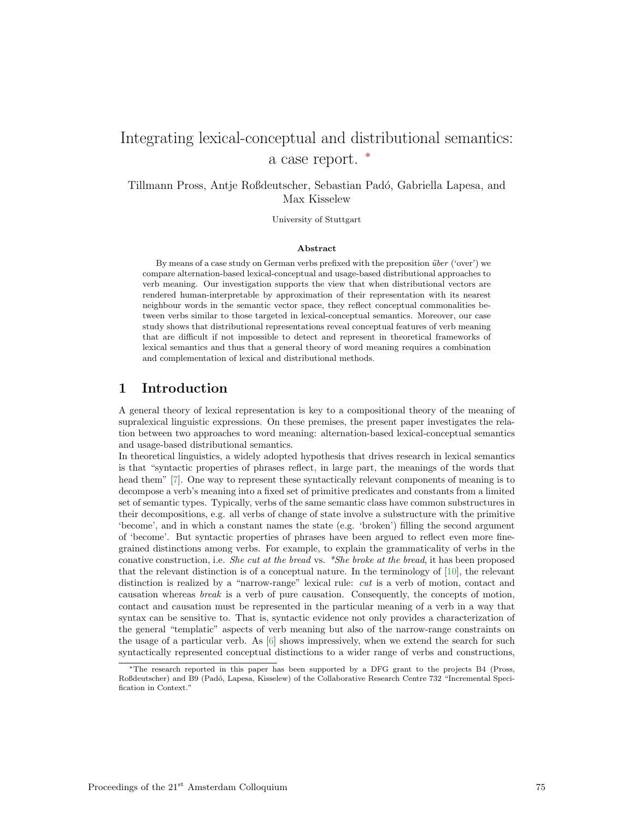# Integrating lexical-conceptual and distributional semantics: a case report. <sup>∗</sup>

Tillmann Pross, Antje Roßdeutscher, Sebastian Pad´o, Gabriella Lapesa, and Max Kisselew

University of Stuttgart

#### Abstract

By means of a case study on German verbs prefixed with the preposition  $\ddot{u}$  is ('over') we compare alternation-based lexical-conceptual and usage-based distributional approaches to verb meaning. Our investigation supports the view that when distributional vectors are rendered human-interpretable by approximation of their representation with its nearest neighbour words in the semantic vector space, they reflect conceptual commonalities between verbs similar to those targeted in lexical-conceptual semantics. Moreover, our case study shows that distributional representations reveal conceptual features of verb meaning that are difficult if not impossible to detect and represent in theoretical frameworks of lexical semantics and thus that a general theory of word meaning requires a combination and complementation of lexical and distributional methods.

#### 1 Introduction

A general theory of lexical representation is key to a compositional theory of the meaning of supralexical linguistic expressions. On these premises, the present paper investigates the relation between two approaches to word meaning: alternation-based lexical-conceptual semantics and usage-based distributional semantics.

In theoretical linguistics, a widely adopted hypothesis that drives research in lexical semantics is that "syntactic properties of phrases reflect, in large part, the meanings of the words that head them" [7]. One way to represent these syntactically relevant components of meaning is to decompose a verb's meaning into a fixed set of primitive predicates and constants from a limited set of semantic types. Typically, verbs of the same semantic class have common substructures in their decompositions, e.g. all verbs of change of state involve a substructure with the primitive 'become', and in which a constant names the state (e.g. 'broken') filling the second argument of 'become'. But syntactic properties of phrases have been argued to reflect even more finegrained distinctions among verbs. For example, to explain the grammaticality of verbs in the conative construction, i.e. *She cut at the bread* vs. *\*She broke at the bread*, it has been proposed that the relevant distinction is of a conceptual nature. In the terminology of [10], the relevant distinction is realized by a "narrow-range" lexical rule: cut is a verb of motion, contact and causation whereas break is a verb of pure causation. Consequently, the concepts of motion, contact and causation must be represented in the particular meaning of a verb in a way that syntax can be sensitive to. That is, syntactic evidence not only provides a characterization of the general "templatic" aspects of verb meaning but also of the narrow-range constraints on the usage of a particular verb. As [6] shows impressively, when we extend the search for such syntactically represented conceptual distinctions to a wider range of verbs and constructions,

<sup>∗</sup>The research reported in this paper has been supported by a DFG grant to the projects B4 (Pross, Roßdeutscher) and B9 (Pad´o, Lapesa, Kisselew) of the Collaborative Research Centre 732 "Incremental Specification in Context."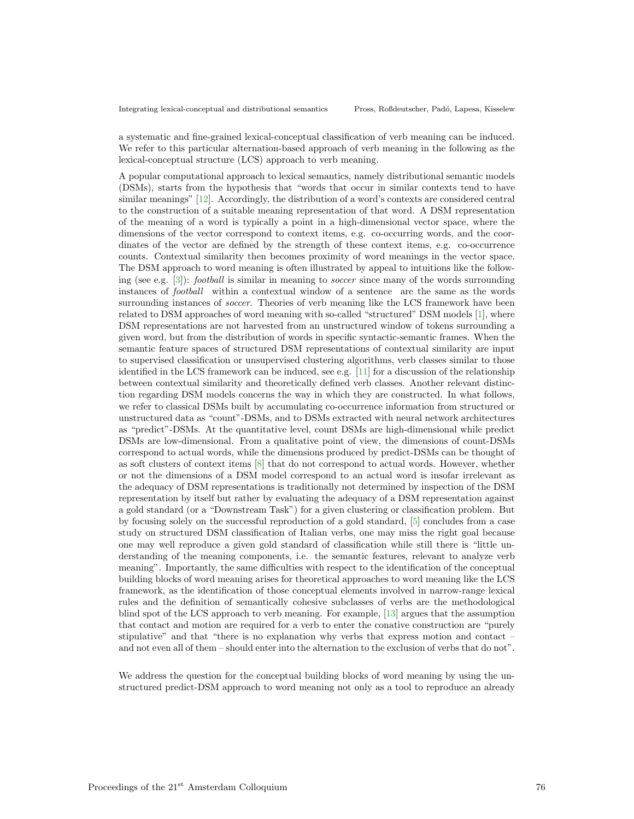a systematic and fine-grained lexical-conceptual classification of verb meaning can be induced. We refer to this particular alternation-based approach of verb meaning in the following as the lexical-conceptual structure (LCS) approach to verb meaning.

A popular computational approach to lexical semantics, namely distributional semantic models (DSMs), starts from the hypothesis that "words that occur in similar contexts tend to have similar meanings" [12]. Accordingly, the distribution of a word's contexts are considered central to the construction of a suitable meaning representation of that word. A DSM representation of the meaning of a word is typically a point in a high-dimensional vector space, where the dimensions of the vector correspond to context items, e.g. co-occurring words, and the coordinates of the vector are defined by the strength of these context items, e.g. co-occurrence counts. Contextual similarity then becomes proximity of word meanings in the vector space. The DSM approach to word meaning is often illustrated by appeal to intuitions like the following (see e.g.  $[3]$ ): *football* is similar in meaning to *soccer* since many of the words surrounding instances of football within a contextual window of a sentence are the same as the words surrounding instances of *soccer*. Theories of verb meaning like the LCS framework have been related to DSM approaches of word meaning with so-called "structured" DSM models [1], where DSM representations are not harvested from an unstructured window of tokens surrounding a given word, but from the distribution of words in specific syntactic-semantic frames. When the semantic feature spaces of structured DSM representations of contextual similarity are input to supervised classification or unsupervised clustering algorithms, verb classes similar to those identified in the LCS framework can be induced, see e.g.  $[11]$  for a discussion of the relationship between contextual similarity and theoretically defined verb classes. Another relevant distinction regarding DSM models concerns the way in which they are constructed. In what follows, we refer to classical DSMs built by accumulating co-occurrence information from structured or unstructured data as "count"-DSMs, and to DSMs extracted with neural network architectures as "predict"-DSMs. At the quantitative level, count DSMs are high-dimensional while predict DSMs are low-dimensional. From a qualitative point of view, the dimensions of count-DSMs correspond to actual words, while the dimensions produced by predict-DSMs can be thought of as soft clusters of context items [8] that do not correspond to actual words. However, whether or not the dimensions of a DSM model correspond to an actual word is insofar irrelevant as the adequacy of DSM representations is traditionally not determined by inspection of the DSM representation by itself but rather by evaluating the adequacy of a DSM representation against a gold standard (or a "Downstream Task") for a given clustering or classification problem. But by focusing solely on the successful reproduction of a gold standard, [5] concludes from a case study on structured DSM classification of Italian verbs, one may miss the right goal because one may well reproduce a given gold standard of classification while still there is "little understanding of the meaning components, i.e. the semantic features, relevant to analyze verb meaning". Importantly, the same difficulties with respect to the identification of the conceptual building blocks of word meaning arises for theoretical approaches to word meaning like the LCS framework, as the identification of those conceptual elements involved in narrow-range lexical rules and the definition of semantically cohesive subclasses of verbs are the methodological blind spot of the LCS approach to verb meaning. For example, [13] argues that the assumption that contact and motion are required for a verb to enter the conative construction are "purely stipulative" and that "there is no explanation why verbs that express motion and contact – and not even all of them – should enter into the alternation to the exclusion of verbs that do not".

We address the question for the conceptual building blocks of word meaning by using the unstructured predict-DSM approach to word meaning not only as a tool to reproduce an already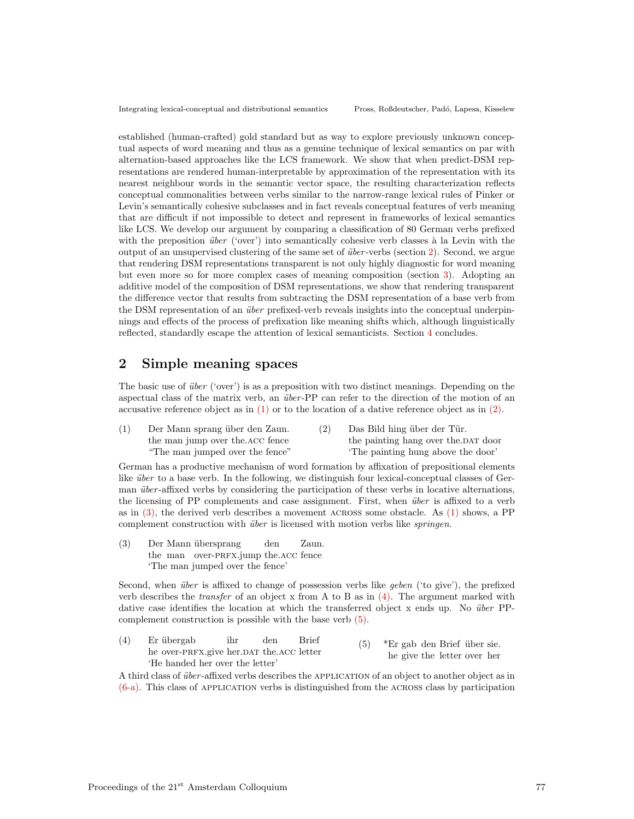established (human-crafted) gold standard but as way to explore previously unknown conceptual aspects of word meaning and thus as a genuine technique of lexical semantics on par with alternation-based approaches like the LCS framework. We show that when predict-DSM representations are rendered human-interpretable by approximation of the representation with its nearest neighbour words in the semantic vector space, the resulting characterization reflects conceptual commonalities between verbs similar to the narrow-range lexical rules of Pinker or Levin's semantically cohesive subclasses and in fact reveals conceptual features of verb meaning that are difficult if not impossible to detect and represent in frameworks of lexical semantics like LCS. We develop our argument by comparing a classification of 80 German verbs prefixed with the preposition  $\ddot{u}ber$  ('over') into semantically cohesive verb classes à la Levin with the output of an unsupervised clustering of the same set of *über*-verbs (section 2). Second, we argue that rendering DSM representations transparent is not only highly diagnostic for word meaning but even more so for more complex cases of meaning composition (section 3). Adopting an additive model of the composition of DSM representations, we show that rendering transparent the difference vector that results from subtracting the DSM representation of a base verb from the DSM representation of an *über* prefixed-verb reveals insights into the conceptual underpinnings and effects of the process of prefixation like meaning shifts which, although linguistically reflected, standardly escape the attention of lexical semanticists. Section 4 concludes.

# 2 Simple meaning spaces

The basic use of  $\ddot{u}ber$  ('over') is as a preposition with two distinct meanings. Depending on the aspectual class of the matrix verb, an *über*-PP can refer to the direction of the motion of an accusative reference object as in (1) or to the location of a dative reference object as in (2).

| Der Mann sprang über den Zaun.  | Das Bild hing über der Tür.         |
|---------------------------------|-------------------------------------|
| the man jump over the ACC fence | the painting hang over the DAT door |
| "The man jumped over the fence" | The painting hung above the door'   |

German has a productive mechanism of word formation by affixation of prepositional elements like  $\ddot{u}ber$  to a base verb. In the following, we distinguish four lexical-conceptual classes of German  $\ddot{u}$  iber-affixed verbs by considering the participation of these verbs in locative alternations, the licensing of PP complements and case assignment. First, when *über* is affixed to a verb as in (3), the derived verb describes a movement across some obstacle. As (1) shows, a PP complement construction with *über* is licensed with motion verbs like *springen*.

(3) Der Mann übersprang the man over-PRFX.jump the.ACC fence den Zaun. 'The man jumped over the fence'

Second, when  $\ddot{u}ber$  is affixed to change of possession verbs like *geben* ('to give'), the prefixed verb describes the *transfer* of an object x from A to B as in  $(4)$ . The argument marked with dative case identifies the location at which the transferred object x ends up. No  $\ddot{u}$  ber PPcomplement construction is possible with the base verb (5).

 $(4)$ he over-PRFX.give her.DAT the.ACC letter Er übergab ihr den Brief 'He handed her over the letter' (5) \*Er gab den Brief über sie. he give the letter over her

A third class of über-affixed verbs describes the APPLICATION of an object to another object as in (6-a). This class of application verbs is distinguished from the across class by participation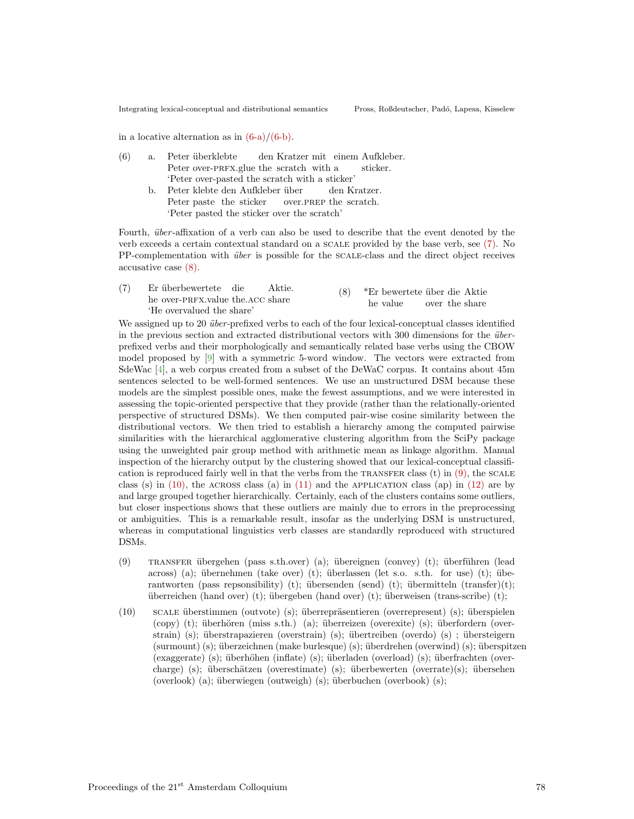in a locative alternation as in  $(6-a)/(6-b)$ .

- (6) a. Peter überklebte Peter over-PRFX.glue the scratch with a den Kratzer mit einem Aufkleber. sticker. 'Peter over-pasted the scratch with a sticker'
	- b. Peter klebte den Aufkleber über Peter paste the sticker over.prep the scratch. den Kratzer. 'Peter pasted the sticker over the scratch'

Fourth, *über*-affixation of a verb can also be used to describe that the event denoted by the verb exceeds a certain contextual standard on a scale provided by the base verb, see (7). No PP-complementation with *über* is possible for the SCALE-class and the direct object receives accusative case (8).

 $(7)$ he over-PRFX.value the.ACC share ¨uberbewertete die Aktie. 'He overvalued the share' (8) \*Er bewertete über die Aktie he value over the share

We assigned up to 20 *über*-prefixed verbs to each of the four lexical-conceptual classes identified in the previous section and extracted distributional vectors with  $300$  dimensions for the  $\ddot{u}$ prefixed verbs and their morphologically and semantically related base verbs using the CBOW model proposed by [9] with a symmetric 5-word window. The vectors were extracted from SdeWac [4], a web corpus created from a subset of the DeWaC corpus. It contains about 45m sentences selected to be well-formed sentences. We use an unstructured DSM because these models are the simplest possible ones, make the fewest assumptions, and we were interested in assessing the topic-oriented perspective that they provide (rather than the relationally-oriented perspective of structured DSMs). We then computed pair-wise cosine similarity between the distributional vectors. We then tried to establish a hierarchy among the computed pairwise similarities with the hierarchical agglomerative clustering algorithm from the SciPy package using the unweighted pair group method with arithmetic mean as linkage algorithm. Manual inspection of the hierarchy output by the clustering showed that our lexical-conceptual classification is reproduced fairly well in that the verbs from the TRANSFER class  $(t)$  in  $(9)$ , the SCALE class (s) in  $(10)$ , the ACROSS class (a) in  $(11)$  and the APPLICATION class (ap) in  $(12)$  are by and large grouped together hierarchically. Certainly, each of the clusters contains some outliers, but closer inspections shows that these outliers are mainly due to errors in the preprocessing or ambiguities. This is a remarkable result, insofar as the underlying DSM is unstructured, whereas in computational linguistics verb classes are standardly reproduced with structured DSMs.

- (9) TRANSFER übergehen (pass s.th.over) (a); übereignen (convey) (t); überführen (lead across) (a); übernehmen (take over) (t); überlassen (let s.o. s.th. for use) (t); überantworten (pass repsonsibility) (t); übersenden (send) (t); übermitteln (transfer)(t); überreichen (hand over) (t); übergeben (hand over) (t); überweisen (trans-scribe) (t);
- (10) scale überstimmen (outvote) (s); überrepräsentieren (overrepresent) (s); überspielen  $(copy)$  (t); überhören (miss s.th.) (a); überreizen (overexite) (s); überfordern (overstrain) (s); überstrapazieren (overstrain) (s); übertreiben (overdo) (s) ; übersteigern  $(\text{summ})$  (s); überzeichnen (make burlesque) (s); überdrehen (overwind) (s); überspitzen  $(exagger)$  (s); überhöhen (inflate) (s); überladen (overload) (s); überfrachten (overcharge) (s); überschätzen (overestimate) (s); überbewerten (overrate)(s); übersehen (overlook) (a); überwiegen (outweigh) (s); überbuchen (overbook) (s);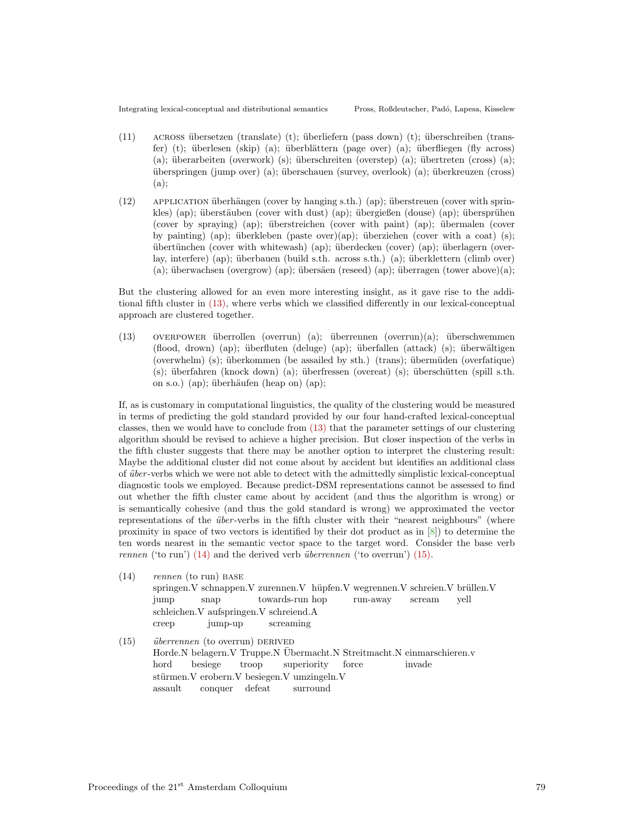- $(11)$  across übersetzen (translate) (t); überliefern (pass down) (t); überschreiben (transfer) (t); überlesen (skip) (a); überblättern (page over) (a); überfliegen (fly across) (a); überarbeiten (overwork) (s); überschreiten (overstep) (a); übertreten (cross) (a); ¨uberspringen (jump over) (a); ¨uberschauen (survey, overlook) (a); ¨uberkreuzen (cross) (a);
- $(12)$  APPLICATION überhängen (cover by hanging s.th.) (ap); überstreuen (cover with sprinkles) (ap); überstäuben (cover with dust) (ap); übergießen (douse) (ap); übersprühen (cover by spraying) (ap); überstreichen (cover with paint) (ap); übermalen (cover by painting) (ap); überkleben (paste over)(ap); überziehen (cover with a coat) (s); ¨ubert¨unchen (cover with whitewash) (ap); ¨uberdecken (cover) (ap); ¨uberlagern (overlay, interfere) (ap); überbauen (build s.th. across s.th.) (a); überklettern (climb over) (a); überwachsen (overgrow) (ap); übersäen (reseed) (ap); überragen (tower above)(a);

But the clustering allowed for an even more interesting insight, as it gave rise to the additional fifth cluster in (13), where verbs which we classified differently in our lexical-conceptual approach are clustered together.

 $(13)$  overpower überrollen (overrun) (a); überrennen (overrun)(a); überschwemmen  $(flood, drown)$  (ap); überfluten (deluge) (ap); überfallen (attack) (s); überwältigen (overwhelm) (s); überkommen (be assailed by sth.) (trans); übermüden (overfatique)  $(s)$ ; überfahren (knock down) (a); überfressen (overeat) (s); überschütten (spill s.th. on s.o.) (ap); überhäufen (heap on) (ap);

If, as is customary in computational linguistics, the quality of the clustering would be measured in terms of predicting the gold standard provided by our four hand-crafted lexical-conceptual classes, then we would have to conclude from (13) that the parameter settings of our clustering algorithm should be revised to achieve a higher precision. But closer inspection of the verbs in the fifth cluster suggests that there may be another option to interpret the clustering result: Maybe the additional cluster did not come about by accident but identifies an additional class of *über*-verbs which we were not able to detect with the admittedly simplistic lexical-conceptual diagnostic tools we employed. Because predict-DSM representations cannot be assessed to find out whether the fifth cluster came about by accident (and thus the algorithm is wrong) or is semantically cohesive (and thus the gold standard is wrong) we approximated the vector representations of the *über*-verbs in the fifth cluster with their "nearest neighbours" (where proximity in space of two vectors is identified by their dot product as in [8]) to determine the ten words nearest in the semantic vector space to the target word. Consider the base verb rennen ('to run')  $(14)$  and the derived verb *überrennen* ('to overrun')  $(15)$ .

- $(14)$  rennen (to run) BASE springen.V schnappen.V zurennen.V hüpfen.V wegrennen.V schreien.V brüllen.V jump snap towards-run hop run-away scream yell schleichen.V aufspringen.V schreiend.A creep jump-up screaming
- $(15)$  *überrennen* (to overrun) DERIVED Horde.N belagern.V Truppe.N Übermacht.N Streitmacht.N einmarschieren.v hord besiege troop superiority force invade stürmen.V erobern.V besiegen.V umzingeln.V assault conquer defeat surround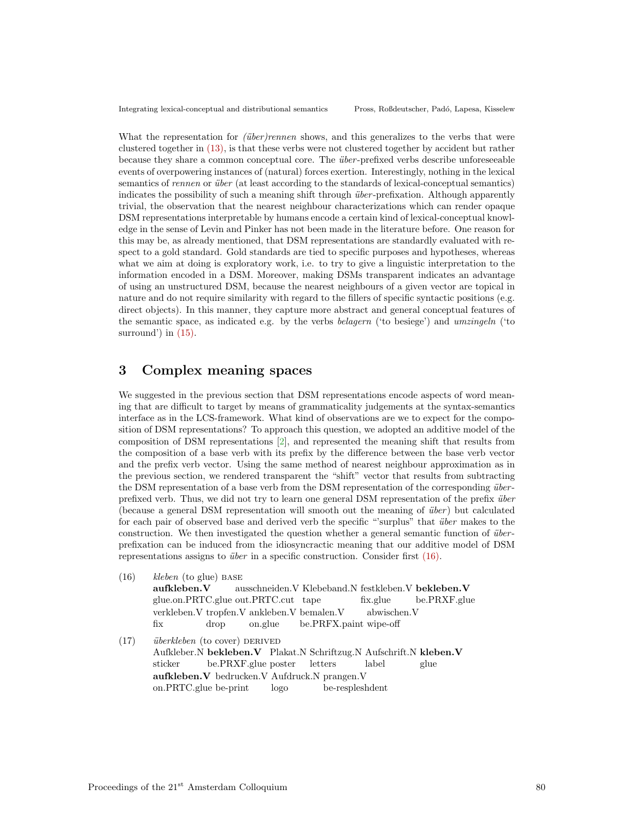What the representation for  $(über)rennen$  shows, and this generalizes to the verbs that were clustered together in (13), is that these verbs were not clustered together by accident but rather because they share a common conceptual core. The *über*-prefixed verbs describe unforeseeable events of overpowering instances of (natural) forces exertion. Interestingly, nothing in the lexical semantics of *rennen* or *über* (at least according to the standards of lexical-conceptual semantics) indicates the possibility of such a meaning shift through  $\ddot{u}$  ber-prefixation. Although apparently trivial, the observation that the nearest neighbour characterizations which can render opaque DSM representations interpretable by humans encode a certain kind of lexical-conceptual knowledge in the sense of Levin and Pinker has not been made in the literature before. One reason for this may be, as already mentioned, that DSM representations are standardly evaluated with respect to a gold standard. Gold standards are tied to specific purposes and hypotheses, whereas what we aim at doing is exploratory work, i.e. to try to give a linguistic interpretation to the information encoded in a DSM. Moreover, making DSMs transparent indicates an advantage of using an unstructured DSM, because the nearest neighbours of a given vector are topical in nature and do not require similarity with regard to the fillers of specific syntactic positions (e.g. direct objects). In this manner, they capture more abstract and general conceptual features of the semantic space, as indicated e.g. by the verbs belagern ('to besiege') and umzingeln ('to surround') in  $(15)$ .

# 3 Complex meaning spaces

We suggested in the previous section that DSM representations encode aspects of word meaning that are difficult to target by means of grammaticality judgements at the syntax-semantics interface as in the LCS-framework. What kind of observations are we to expect for the composition of DSM representations? To approach this question, we adopted an additive model of the composition of DSM representations [2], and represented the meaning shift that results from the composition of a base verb with its prefix by the difference between the base verb vector and the prefix verb vector. Using the same method of nearest neighbour approximation as in the previous section, we rendered transparent the "shift" vector that results from subtracting the DSM representation of a base verb from the DSM representation of the corresponding  $\ddot{u}$ prefixed verb. Thus, we did not try to learn one general DSM representation of the prefix  $\ddot{u}$ (because a general DSM representation will smooth out the meaning of  $\ddot{u}ber$ ) but calculated for each pair of observed base and derived verb the specific "surplus" that *über* makes to the construction. We then investigated the question whether a general semantic function of  $\ddot{u}$ prefixation can be induced from the idiosyncractic meaning that our additive model of DSM representations assigns to *über* in a specific construction. Consider first  $(16)$ .

 $(16)$  kleben (to glue) BASE aufkleben.V glue.on.PRTC.glue out.PRTC.cut tape ausschneiden. V Klebeband. N festkleben. V bekleben. V fix.glue be.PRXF.glue verkleben.V tropfen.V ankleben.V bemalen.V fix drop on.glue be.PRFX.paint wipe-off abwischen.V  $(17)$  *überkleben* (to cover) DERIVED Aufkleber.N bekleben.V Plakat.N Schriftzug.N Aufschrift.N kleben.V sticker be.PRXF.glue poster letters label glue aufkleben.V bedrucken.V Aufdruck.N prangen.V on.PRTC.glue be-print logo be-respleshdent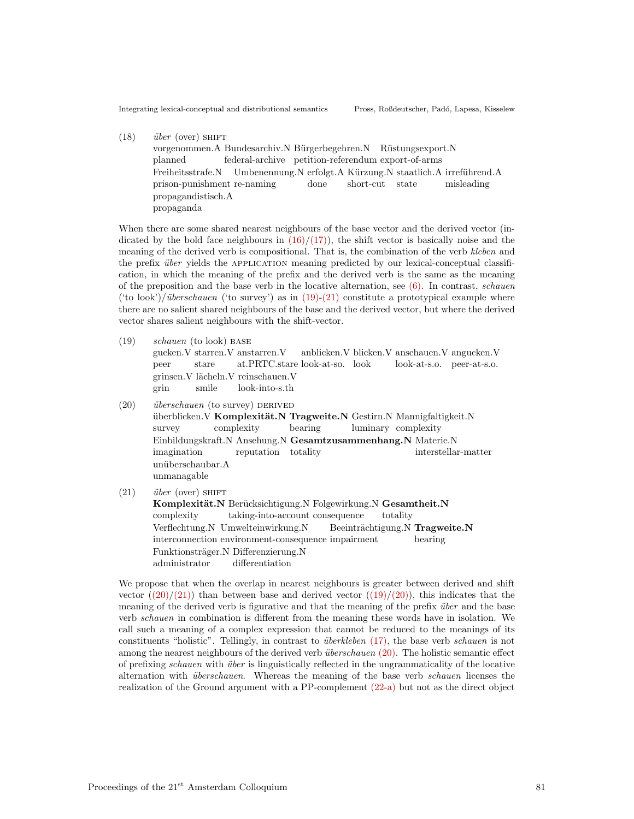$(18)$  *über* (over) SHIFT vorgenommen. A Bundesarchiv. N Bürgerbegehren. N Rüstungsexport. N planned federal-archive petition-referendum export-of-arms Freiheitsstrafe.N prison-punishment re-naming Umbenennung.N erfolgt.A Kürzung.N staatlich.A irreführend.A done short-cut state misleading propagandistisch.A propaganda

When there are some shared nearest neighbours of the base vector and the derived vector (indicated by the bold face neighbours in  $(16)/(17)$ , the shift vector is basically noise and the meaning of the derived verb is compositional. That is, the combination of the verb kleben and the prefix *über* yields the APPLICATION meaning predicted by our lexical-conceptual classification, in which the meaning of the prefix and the derived verb is the same as the meaning of the preposition and the base verb in the locative alternation, see  $(6)$ . In contrast, *schauen* ('to look')/ $\ddot{\text{u}}$ berschauen ('to survey') as in (19)-(21) constitute a prototypical example where there are no salient shared neighbours of the base and the derived vector, but where the derived vector shares salient neighbours with the shift-vector.

- (19) schauen (to look) base gucken.V starren.V anstarren.V peer stare at.PRTC.stare look-at-so. look anblicken.V blicken.V anschauen.V angucken.V look-at-s.o. peer-at-s.o. grinsen. Vlächeln. Vreinschauen. V grin smile look-into-s.th
- $(20)$  *überschauen* (to survey) DERIVED überblicken. V Komplexität. N Tragweite. N Gestirn. N Mannigfaltigkeit. N survey complexity bearing luminary complexity Einbildungskraft.N Ansehung.N Gesamtzusammenhang.N Materie.N imagination reputation totality interstellar-matter unüberschaubar.A unmanagable
- $(21)$  *über* (over) SHIFT Komplexität.N Berücksichtigung.N Folgewirkung.N Gesamtheit.N complexity taking-into-account consequence totality Verflechtung.N Umwelteinwirkung.N interconnection environment-consequence impairment Beeinträchtigung.N Tragweite.N bearing Funktionsträger.N Differenzierung.N administrator differentiation

We propose that when the overlap in nearest neighbours is greater between derived and shift vector  $((20)/(21))$  than between base and derived vector  $((19)/(20))$ , this indicates that the meaning of the derived verb is figurative and that the meaning of the prefix *über* and the base verb schauen in combination is different from the meaning these words have in isolation. We call such a meaning of a complex expression that cannot be reduced to the meanings of its constituents "holistic". Tellingly, in contrast to *überkleben* (17), the base verb *schauen* is not among the nearest neighbours of the derived verb  $\ddot{w}$  *uberschauen* (20). The holistic semantic effect of prefixing schauen with über is linguistically reflected in the ungrammaticality of the locative alternation with *überschauen*. Whereas the meaning of the base verb *schauen* licenses the realization of the Ground argument with a PP-complement (22-a) but not as the direct object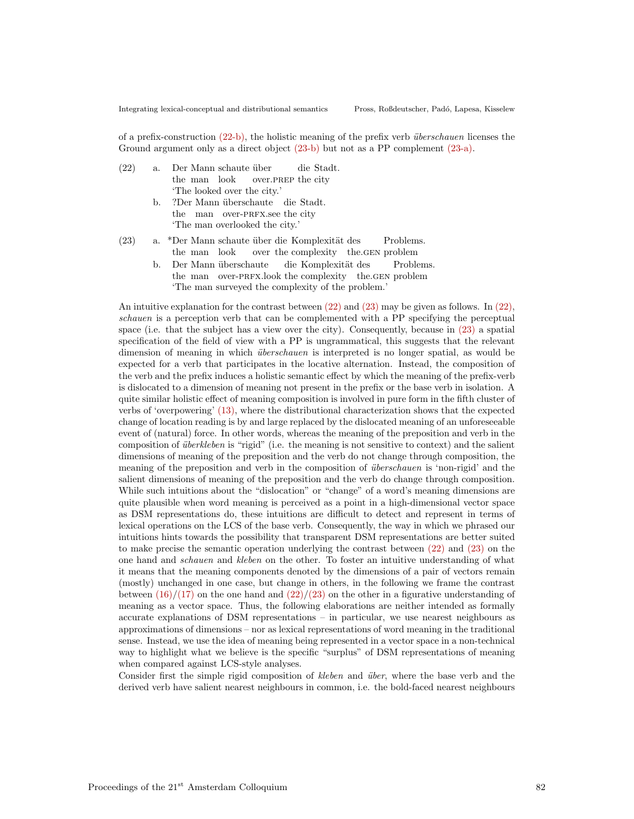of a prefix-construction (22-b), the holistic meaning of the prefix verb *überschauen* licenses the Ground argument only as a direct object (23-b) but not as a PP complement (23-a).

| (22) | a. |                            |  | Der Mann schaute über |                                  |  | die Stadt. |
|------|----|----------------------------|--|-----------------------|----------------------------------|--|------------|
|      |    |                            |  |                       | the man look over. PREP the city |  |            |
|      |    | The looked over the city.' |  |                       |                                  |  |            |
|      |    |                            |  |                       |                                  |  |            |

- b. ?Der Mann überschaute die Stadt. the man over-PRFX.see the city 'The man overlooked the city.'
- (23) a. \*Der Mann schaute über die Komplexität des the man look over the complexity the.gen problem Problems.
	- b. Der Mann überschaute the man over-PRFX.look the complexity the.GEN problem die Komplexität des Problems. 'The man surveyed the complexity of the problem.'

An intuitive explanation for the contrast between (22) and (23) may be given as follows. In (22), schauen is a perception verb that can be complemented with a PP specifying the perceptual space (i.e. that the subject has a view over the city). Consequently, because in (23) a spatial specification of the field of view with a PP is ungrammatical, this suggests that the relevant dimension of meaning in which *überschauen* is interpreted is no longer spatial, as would be expected for a verb that participates in the locative alternation. Instead, the composition of the verb and the prefix induces a holistic semantic effect by which the meaning of the prefix-verb is dislocated to a dimension of meaning not present in the prefix or the base verb in isolation. A quite similar holistic effect of meaning composition is involved in pure form in the fifth cluster of verbs of 'overpowering' (13), where the distributional characterization shows that the expected change of location reading is by and large replaced by the dislocated meaning of an unforeseeable event of (natural) force. In other words, whereas the meaning of the preposition and verb in the composition of  $\ddot{u}berkleben$  is "rigid" (i.e. the meaning is not sensitive to context) and the salient dimensions of meaning of the preposition and the verb do not change through composition, the meaning of the preposition and verb in the composition of *überschauen* is 'non-rigid' and the salient dimensions of meaning of the preposition and the verb do change through composition. While such intuitions about the "dislocation" or "change" of a word's meaning dimensions are quite plausible when word meaning is perceived as a point in a high-dimensional vector space as DSM representations do, these intuitions are difficult to detect and represent in terms of lexical operations on the LCS of the base verb. Consequently, the way in which we phrased our intuitions hints towards the possibility that transparent DSM representations are better suited to make precise the semantic operation underlying the contrast between (22) and (23) on the one hand and schauen and kleben on the other. To foster an intuitive understanding of what it means that the meaning components denoted by the dimensions of a pair of vectors remain (mostly) unchanged in one case, but change in others, in the following we frame the contrast between  $(16)/(17)$  on the one hand and  $(22)/(23)$  on the other in a figurative understanding of meaning as a vector space. Thus, the following elaborations are neither intended as formally accurate explanations of DSM representations – in particular, we use nearest neighbours as approximations of dimensions – nor as lexical representations of word meaning in the traditional sense. Instead, we use the idea of meaning being represented in a vector space in a non-technical way to highlight what we believe is the specific "surplus" of DSM representations of meaning when compared against LCS-style analyses.

Consider first the simple rigid composition of kleben and über, where the base verb and the derived verb have salient nearest neighbours in common, i.e. the bold-faced nearest neighbours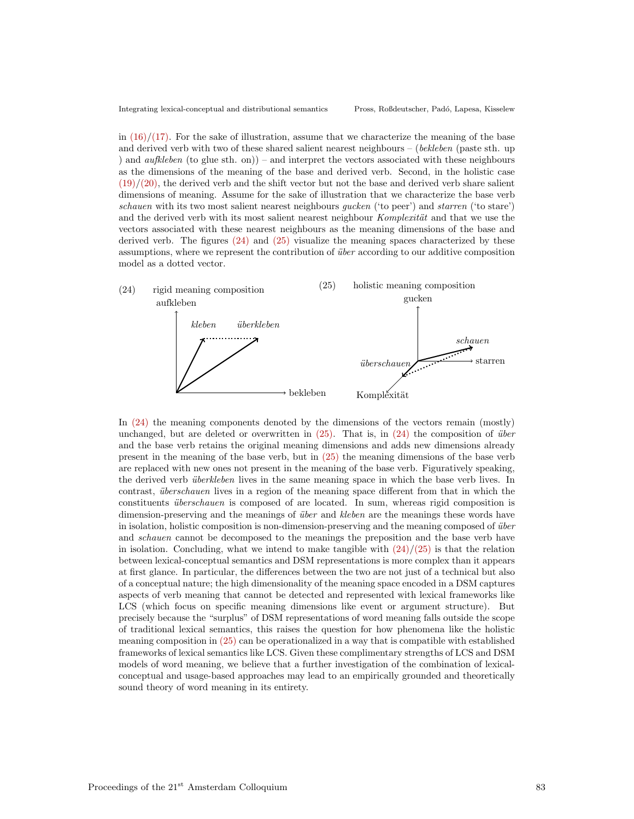in  $(16)/(17)$ . For the sake of illustration, assume that we characterize the meaning of the base and derived verb with two of these shared salient nearest neighbours – (bekleben (paste sth. up ) and  $\alpha$ ufkleben (to glue sth. on)) – and interpret the vectors associated with these neighbours as the dimensions of the meaning of the base and derived verb. Second, in the holistic case  $(19)/(20)$ , the derived verb and the shift vector but not the base and derived verb share salient dimensions of meaning. Assume for the sake of illustration that we characterize the base verb schauen with its two most salient nearest neighbours *qucken* ('to peer') and *starren* ('to stare') and the derived verb with its most salient nearest neighbour Komplexität and that we use the vectors associated with these nearest neighbours as the meaning dimensions of the base and derived verb. The figures  $(24)$  and  $(25)$  visualize the meaning spaces characterized by these assumptions, where we represent the contribution of *über* according to our additive composition model as a dotted vector.



In (24) the meaning components denoted by the dimensions of the vectors remain (mostly) unchanged, but are deleted or overwritten in  $(25)$ . That is, in  $(24)$  the composition of *über* and the base verb retains the original meaning dimensions and adds new dimensions already present in the meaning of the base verb, but in (25) the meaning dimensions of the base verb are replaced with new ones not present in the meaning of the base verb. Figuratively speaking, the derived verb *überkleben* lives in the same meaning space in which the base verb lives. In contrast, *überschauen* lives in a region of the meaning space different from that in which the constituents *überschauen* is composed of are located. In sum, whereas rigid composition is dimension-preserving and the meanings of *über* and *kleben* are the meanings these words have in isolation, holistic composition is non-dimension-preserving and the meaning composed of *über* and schauen cannot be decomposed to the meanings the preposition and the base verb have in isolation. Concluding, what we intend to make tangible with  $\frac{24}{25}$  is that the relation between lexical-conceptual semantics and DSM representations is more complex than it appears at first glance. In particular, the differences between the two are not just of a technical but also of a conceptual nature; the high dimensionality of the meaning space encoded in a DSM captures aspects of verb meaning that cannot be detected and represented with lexical frameworks like LCS (which focus on specific meaning dimensions like event or argument structure). But precisely because the "surplus" of DSM representations of word meaning falls outside the scope of traditional lexical semantics, this raises the question for how phenomena like the holistic meaning composition in (25) can be operationalized in a way that is compatible with established frameworks of lexical semantics like LCS. Given these complimentary strengths of LCS and DSM models of word meaning, we believe that a further investigation of the combination of lexicalconceptual and usage-based approaches may lead to an empirically grounded and theoretically sound theory of word meaning in its entirety.